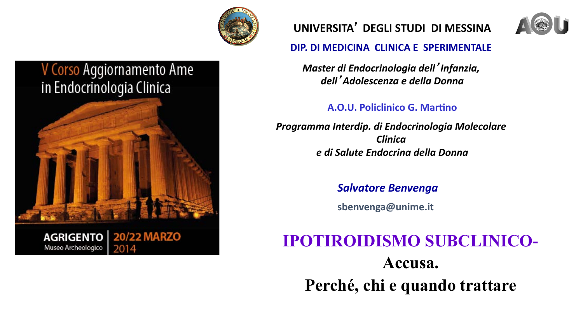

## V Corso Aggiornamento Ame in Endocrinologia Clinica



## **UNIVERSITA**' **DEGLI STUDI DI MESSINA**



### **DIP. DI MEDICINA CLINICA E SPERIMENTALE**

*Master di Endocrinologia dell*'*Infanzia, dell*'*Adolescenza e della Donna* 

## **A.O.U. Policlinico G. Martino**

*Programma Interdip. di Endocrinologia Molecolare Clinica e di Salute Endocrina della Donna* 

*Salvatore Benvenga* 

**sbenvenga@unime.it** 

# **IPOTIROIDISMO SUBCLINICO- Accusa. Perché, chi e quando trattare**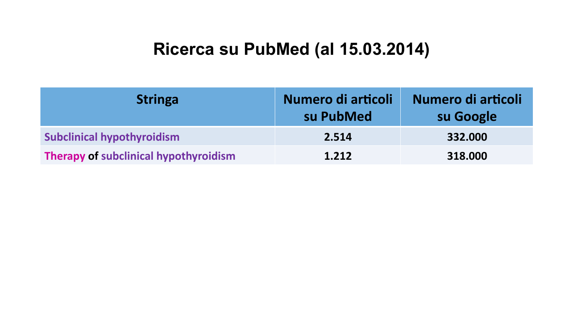## **Ricerca su PubMed (al 15.03.2014)**

| <b>Stringa</b>                        | Numero di articoli<br>su PubMed | Numero di articoli<br>su Google |
|---------------------------------------|---------------------------------|---------------------------------|
| <b>Subclinical hypothyroidism</b>     | 2.514                           | 332.000                         |
| Therapy of subclinical hypothyroidism | 1.212                           | 318,000                         |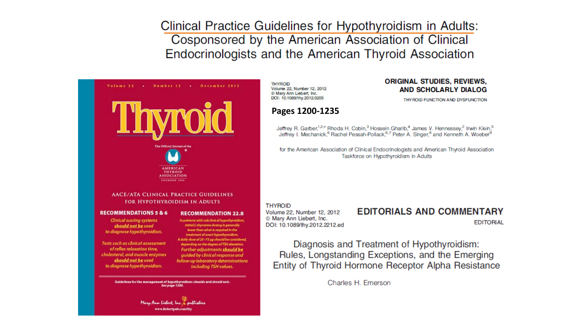Clinical Practice Guidelines for Hypothyroidism in Adults: Cosponsored by the American Association of Clinical Endocrinologists and the American Thyroid Association



**THYROID** Volume 22, Number 12, 2012 @ Mary Ann Liebert, Inc. DOI: 10.1089/thy.2012.0205

#### **ORIGINAL STUDIES, REVIEWS. AND SCHOLARLY DIALOG**

THY ROID FUNCTION AND DYSFUNCTION

#### **Pages 1200-1235**

Jeffrey R. Garber,<sup>1,2,\*</sup> Rhoda H. Cobin,<sup>3</sup> Hossein Gharib,<sup>4</sup> James V. Hennessey,<sup>2</sup> Irwin Klein,<sup>5</sup><br>Jeffrey I. Mechanick,<sup>6</sup> Rachel Pessah-Pollack,<sup>6,7</sup> Peter A. Singer,<sup>8</sup> and Kenneth A. Woeber<sup>9</sup>

for the American Association of Clinical Endocrinologists and American Thyroid Association Taskforce on Hypothyroidism in Adults

#### **THYROID**

Volume 22, Number 12, 2012 © Mary Ann Liebert, Inc. DOI: 10.1089/thy.2012.2212.ed

## **EDITORIALS AND COMMENTARY**

**EDITORIAL** 

Diagnosis and Treatment of Hypothyroidism: Rules, Longstanding Exceptions, and the Emerging Entity of Thyroid Hormone Receptor Alpha Resistance

Charles H. Emerson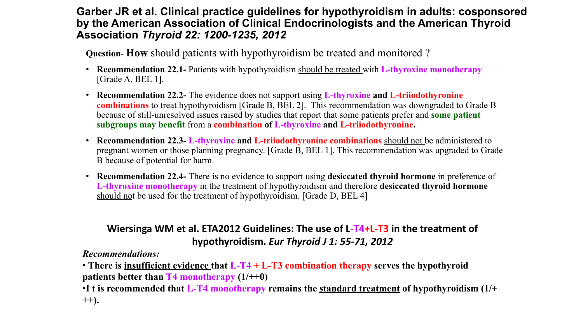### **Garber JR et al. Clinical practice guidelines for hypothyroidism in adults: cosponsored by the American Association of Clinical Endocrinologists and the American Thyroid Association** *Thyroid 22: 1200-1235, 2012*

**Question**- **How** should patients with hypothyroidism be treated and monitored ?

- **Recommendation 22.1-** Patients with hypothyroidism should be treated with **L-thyroxine monotherapy**  [Grade A, BEL 1].
- **Recommendation 22.2-** The evidence does not support using **L-thyroxine and L-triiodothyronine combinations** to treat hypothyroidism [Grade B, BEL 2]. This recommendation was downgraded to Grade B because of still-unresolved issues raised by studies that report that some patients prefer and **some patient subgroups may benefit** from a **combination of L-thyroxine and L-triiodothyronine.**
- **Recommendation 22.3- L-thyroxine and L-triiodothyronine combinations** should not be administered to pregnant women or those planning pregnancy. [Grade B, BEL 1]. This recommendation was upgraded to Grade B because of potential for harm.
- **Recommendation 22.4-** There is no evidence to support using **desiccated thyroid hormone** in preference of **L-thyroxine monotherapy** in the treatment of hypothyroidism and therefore **desiccated thyroid hormone**  should not be used for the treatment of hypothyroidism. [Grade D, BEL 4]

### Wiersinga WM et al. ETA2012 Guidelines: The use of L-T4+L-T3 in the treatment of hypothyroidism. *Eur Thyroid J 1: 55-71, 2012*

*Recommendations:* 

• **There is insufficient evidence that L-T4 + L-T3 combination therapy serves the hypothyroid patients better than T4 monotherapy (1/++0)** 

•**I t is recommended that L-T4 monotherapy remains the standard treatment of hypothyroidism (1/+ ++).**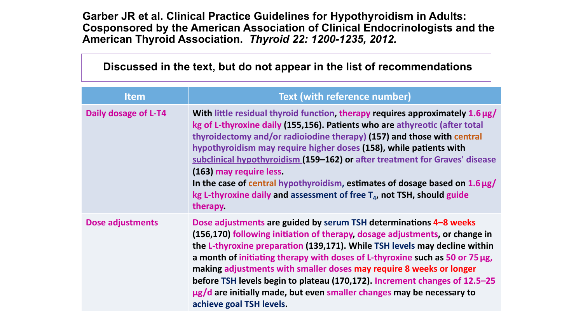**Garber JR et al. Clinical Practice Guidelines for Hypothyroidism in Adults: Cosponsored by the American Association of Clinical Endocrinologists and the American Thyroid Association.** *Thyroid 22: 1200-1235, 2012.*

## **Discussed in the text, but do not appear in the list of recommendations**

| <b>Item</b>             | <b>Text (with reference number)</b>                                                                                                                                                                                                                                                                                                                                                                                                                                                                                                                                                                  |
|-------------------------|------------------------------------------------------------------------------------------------------------------------------------------------------------------------------------------------------------------------------------------------------------------------------------------------------------------------------------------------------------------------------------------------------------------------------------------------------------------------------------------------------------------------------------------------------------------------------------------------------|
| Daily dosage of L-T4    | With little residual thyroid function, therapy requires approximately 1.6 µg/<br>kg of L-thyroxine daily (155,156). Patients who are athyreotic (after total<br>thyroidectomy and/or radioiodine therapy) (157) and those with central<br>hypothyroidism may require higher doses (158), while patients with<br>subclinical hypothyroidism (159-162) or after treatment for Graves' disease<br>(163) may require less.<br>In the case of central hypothyroidism, estimates of dosage based on $1.6 \mu g$ /<br>kg L-thyroxine daily and assessment of free $T_a$ , not TSH, should guide<br>therapy. |
| <b>Dose adjustments</b> | Dose adjustments are guided by serum TSH determinations 4-8 weeks<br>(156,170) following initiation of therapy, dosage adjustments, or change in<br>the L-thyroxine preparation (139,171). While TSH levels may decline within<br>a month of initiating therapy with doses of L-thyroxine such as 50 or 75 µg,<br>making adjustments with smaller doses may require 8 weeks or longer<br>before TSH levels begin to plateau (170,172). Increment changes of 12.5–25<br>ug/d are initially made, but even smaller changes may be necessary to<br>achieve goal TSH levels.                             |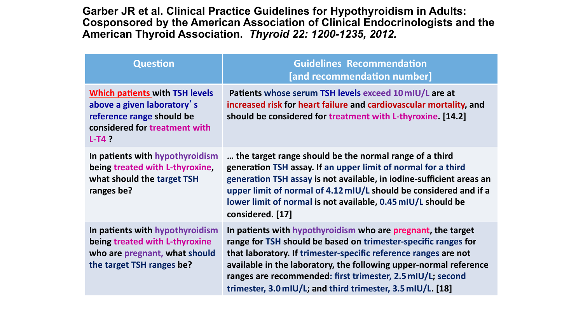**Garber JR et al. Clinical Practice Guidelines for Hypothyroidism in Adults: Cosponsored by the American Association of Clinical Endocrinologists and the American Thyroid Association.** *Thyroid 22: 1200-1235, 2012.*

| <b>Question</b>                                                                                                                               | <b>Guidelines Recommendation</b><br>[and recommendation number]                                                                                                                                                                                                                                                                                                                                    |
|-----------------------------------------------------------------------------------------------------------------------------------------------|----------------------------------------------------------------------------------------------------------------------------------------------------------------------------------------------------------------------------------------------------------------------------------------------------------------------------------------------------------------------------------------------------|
| <b>Which patients with TSH levels</b><br>above a given laboratory's<br>reference range should be<br>considered for treatment with<br>$L-T4$ ? | Patients whose serum TSH levels exceed 10 mIU/L are at<br>increased risk for heart failure and cardiovascular mortality, and<br>should be considered for treatment with L-thyroxine. [14.2]                                                                                                                                                                                                        |
| In patients with hypothyroidism<br>being treated with L-thyroxine,<br>what should the target TSH<br>ranges be?                                | the target range should be the normal range of a third<br>generation TSH assay. If an upper limit of normal for a third<br>generation TSH assay is not available, in iodine-sufficient areas an<br>upper limit of normal of 4.12 mIU/L should be considered and if a<br>lower limit of normal is not available, 0.45 mIU/L should be<br>considered. [17]                                           |
| In patients with hypothyroidism<br>being treated with L-thyroxine<br>who are pregnant, what should<br>the target TSH ranges be?               | In patients with hypothyroidism who are pregnant, the target<br>range for TSH should be based on trimester-specific ranges for<br>that laboratory. If trimester-specific reference ranges are not<br>available in the laboratory, the following upper-normal reference<br>ranges are recommended: first trimester, 2.5 mIU/L; second<br>trimester, 3.0 mIU/L; and third trimester, 3.5 mIU/L. [18] |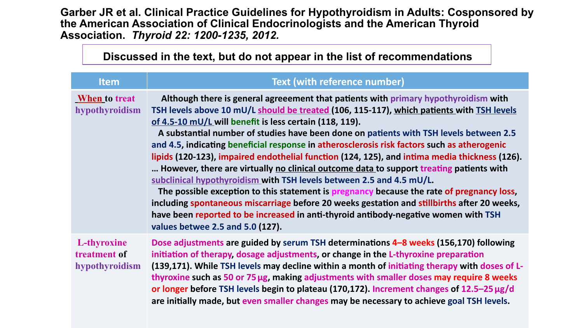**Garber JR et al. Clinical Practice Guidelines for Hypothyroidism in Adults: Cosponsored by the American Association of Clinical Endocrinologists and the American Thyroid Association.** *Thyroid 22: 1200-1235, 2012.*

**Discussed in the text, but do not appear in the list of recommendations** 

| $\mathbf{r}$ $\mathbf{r}$                     |                                                                                                                                                                                                                                                                                                                                                                                                                                                                                                                                                                                                                                                                                                                                                                                                                                                                                                                                                                                                                                 |  |
|-----------------------------------------------|---------------------------------------------------------------------------------------------------------------------------------------------------------------------------------------------------------------------------------------------------------------------------------------------------------------------------------------------------------------------------------------------------------------------------------------------------------------------------------------------------------------------------------------------------------------------------------------------------------------------------------------------------------------------------------------------------------------------------------------------------------------------------------------------------------------------------------------------------------------------------------------------------------------------------------------------------------------------------------------------------------------------------------|--|
| <b>Item</b>                                   | <b>Text (with reference number)</b>                                                                                                                                                                                                                                                                                                                                                                                                                                                                                                                                                                                                                                                                                                                                                                                                                                                                                                                                                                                             |  |
| <b>When</b> to treat<br>hypothyroidism        | Although there is general agreeement that patients with primary hypothyroidism with<br>TSH levels above 10 mU/L should be treated (106, 115-117), which patients with TSH levels<br>of 4.5-10 mU/L will benefit is less certain (118, 119).<br>A substantial number of studies have been done on patients with TSH levels between 2.5<br>and 4.5, indicating beneficial response in atherosclerosis risk factors such as atherogenic<br>lipids (120-123), impaired endothelial function (124, 125), and intima media thickness (126).<br>However, there are virtually no clinical outcome data to support treating patients with<br>subclinical hypothyroidism with TSH levels between 2.5 and 4.5 mU/L.<br>The possible exception to this statement is pregnancy because the rate of pregnancy loss,<br>including spontaneous miscarriage before 20 weeks gestation and stillbirths after 20 weeks,<br>have been reported to be increased in anti-thyroid antibody-negative women with TSH<br>values betwee 2.5 and 5.0 (127). |  |
| L-thyroxine<br>treatment of<br>hypothyroidism | Dose adjustments are guided by serum TSH determinations 4-8 weeks (156,170) following<br>initiation of therapy, dosage adjustments, or change in the L-thyroxine preparation<br>(139,171). While TSH levels may decline within a month of initiating therapy with doses of L-<br>thyroxine such as 50 or 75 µg, making adjustments with smaller doses may require 8 weeks<br>or longer before TSH levels begin to plateau (170,172). Increment changes of 12.5-25 µg/d<br>are initially made, but even smaller changes may be necessary to achieve goal TSH levels.                                                                                                                                                                                                                                                                                                                                                                                                                                                             |  |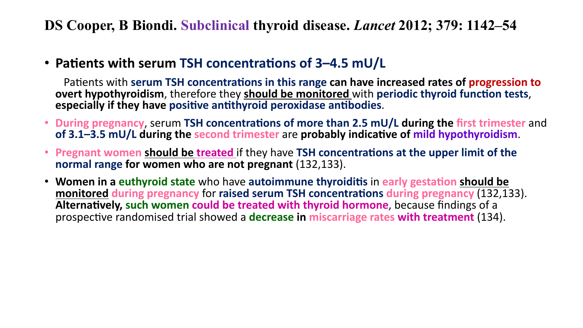**DS Cooper, B Biondi. Subclinical thyroid disease.** *Lancet* **2012; 379: 1142–54** 

• Patients with serum TSH concentrations of 3-4.5 mU/L

Patients with serum TSH concentrations in this range can have increased rates of progression to **overt hypothyroidism**, therefore they **should be monitored** with **periodic thyroid function tests**, **especially if they have positive antithyroid peroxidase antibodies.** 

- During pregnancy, serum TSH concentrations of more than 2.5 mU/L during the first trimester and of 3.1–3.5 mU/L during the second trimester are probably indicative of mild hypothyroidism.
- Pregnant women should be treated if they have TSH concentrations at the upper limit of the **normal range for women who are not pregnant** (132,133).
- Women in a euthyroid state who have autoimmune thyroiditis in early gestation should be **monitored during pregnancy for raised serum TSH concentrations during pregnancy (132,133).** Alternatively, such women could be treated with thyroid hormone, because findings of a prospective randomised trial showed a **decrease in miscarriage rates with treatment** (134).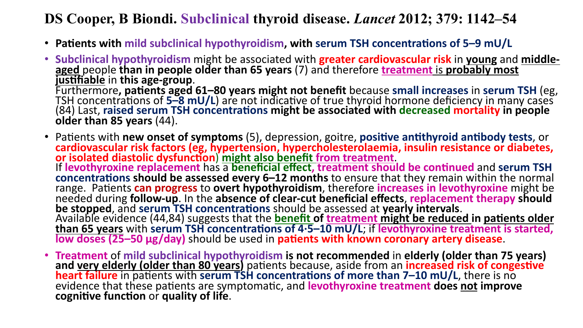## **DS Cooper, B Biondi. Subclinical thyroid disease.** *Lancet* **2012; 379: 1142–54**

- Patients with mild subclinical hypothyroidism, with serum TSH concentrations of 5–9 mU/L
- **Subclinical hypothyroidism** might be associated with **greater cardiovascular risk** in young and middle-<br>aged people than in people older than 65 years (7) and therefore treatment is probably most Tustifiable in this age-group.<br>
Furthermore, patients aged 61–80 years might not benefit because small increases in serum TSH (eg,<br>
TSH concentrations of 5–8 mU/L) are not indicative of true thyroid hormone deficiency in m
- Fatients with **new onset of symptoms** (5), depression, goitre, **positive antithyroid antibody tests**, or cardiovascular risk factors (eg, hypertension, hypercholesterolaemia, insulin resistance or diabetes, or isolated diastolic dysfunction) might also benefit from treatment.<br>If levothyroxine replacement has a beneficial effect, treatment should be continued and serum TSH **concentrations should be assessed every 6–12 months** to ensure that they remain within the normal range. Patients can progress to overt hypothyroidism, therefore increases in levothyroxine might be needed during follow-up. In the absence of clear-cut beneficial effects, replacement therapy should be stopped, and serum Available evidence (44,84) suggests that the **benefit of treatment might be reduced in patients older**<br>than 65 years with serum TSH concentrations of 4.5–10 mU/L; if levothyroxine treatment is started,<br>low doses (25–50 µg/
- Treatment of mild subclinical hypothyroidism is not recommended in elderly (older than 75 years) and very elderly (older than 80 years) patients because, aside from an increased risk of congestive heart failure in patien evidence that these patients are symptomatic, and **levothyroxine treatment does** not improve cognitive function or quality of life.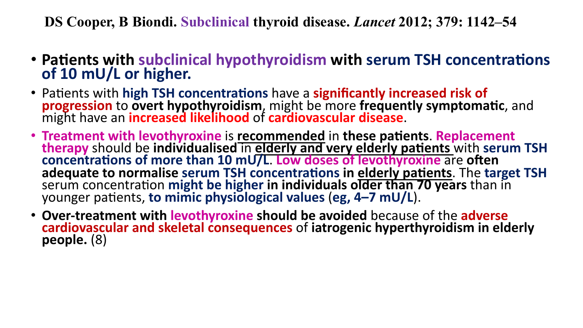**DS Cooper, B Biondi. Subclinical thyroid disease.** *Lancet* **2012; 379: 1142–54** 

- Patients with subclinical hypothyroidism with serum TSH concentrations of 10 mU/L or higher.
- Patients with **high TSH concentrations** have a **significantly increased risk of**<br>**progression** to **overt hypothyroidism**, might be more **frequently symptomatic**, and might have an *increased likelihood* of cardiovascular disease.
- **Treatment with levothyroxine** is **recommended** in these patients. Replacement **therapy** should be individualised in elderly and very elderly patients with serum TSH concentrations of more than 10 mU/L. Low doses of levothyroxine are often adequate to normalise serum TSH concentrations in elderly patients. The target TSH serum concentration might be higher in individuals older than 70 years than in younger patients, to mimic physiological values (eg, 4–7 mU/L).
- Over-treatment with levothyroxine should be avoided because of the adverse **cardiovascular and skeletal consequences** of iatrogenic hyperthyroidism in elderly people. (8)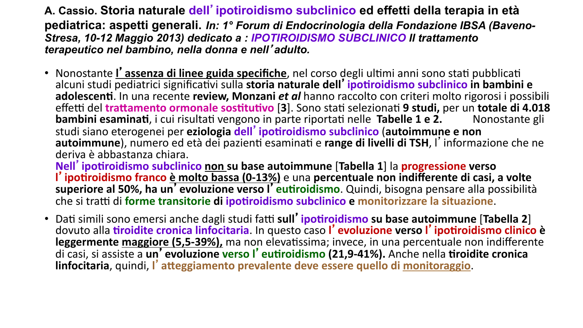**A. Cassio. Storia naturale dell**'**ipotiroidismo subclinico ed effetti della terapia in età pediatrica: aspetti generali.** *In: 1° Forum di Endocrinologia della Fondazione IBSA (Baveno-Stresa, 10-12 Maggio 2013) dedicato a : IPOTIROIDISMO SUBCLINICO Il trattamento terapeutico nel bambino, nella donna e nell*'*adulto.* 

• Nonostante *l'assenza di linee guida specifiche*, nel corso degli ultimi anni sono stati pubblicati alcuni studi pediatrici significativi sulla storia naturale dell'ipotiroidismo subclinico in bambini e adolescenti. In una recente review, Monzani *et al* hanno raccolto con criteri molto rigorosi i possibili effetti del trattamento ormonale sostitutivo [3]. Sono stati selezionati 9 studi, per un totale di 4.018 **bambini esaminati**, i cui risultati vengono in parte riportati nelle Tabelle 1 e 2. Nonostante gli studi siano eterogenei per eziologia dell'ipotiroidismo subclinico (autoimmune e non autoimmune), numero ed età dei pazienti esaminati e range di livelli di TSH, l'informazione che ne deriva è abbastanza chiara. 

**Nell**' ipotiroidismo subclinico non su base autoimmune [Tabella 1] la progressione verso l' ipotiroidismo franco è molto bassa (0-13%) e una percentuale non indifferente di casi, a volte superiore al 50%, ha un<sup>7</sup> evoluzione verso l'eutiroidismo. Quindi, bisogna pensare alla possibilità che si tratti di forme transitorie di ipotiroidismo subclinico e monitorizzare la situazione.

• Dati simili sono emersi anche dagli studi fatti sull' ipotiroidismo su base autoimmune [Tabella 2] dovuto alla *tiroidite cronica linfocitaria*. In questo caso l'evoluzione verso l'ipotiroidismo clinico è **leggermente maggiore (5,5-39%),** ma non elevatissima; invece, in una percentuale non indifferente di casi, si assiste a un' evoluzione verso l'eutiroidismo (21,9-41%). Anche nella tiroidite cronica **linfocitaria**, quindi, l'atteggiamento prevalente deve essere quello di monitoraggio.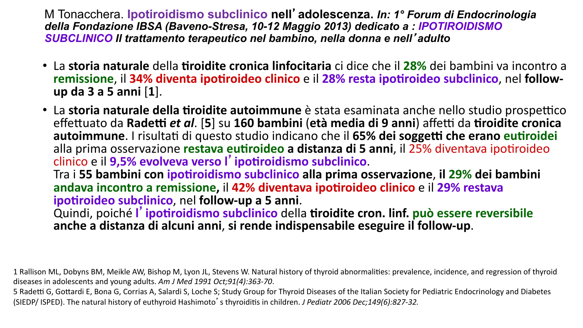M Tonacchera. **Ipotiroidismo subclinico nell**'**adolescenza.** *In: 1° Forum di Endocrinologia della Fondazione IBSA (Baveno-Stresa, 10-12 Maggio 2013) dedicato a : IPOTIROIDISMO SUBCLINICO Il trattamento terapeutico nel bambino, nella donna e nell*'*adulto*

• La storia naturale della tiroidite cronica linfocitaria ci dice che il 28% dei bambini va incontro a remissione, il 34% diventa ipotiroideo clinico e il 28% resta ipotiroideo subclinico, nel follow**up da 3 a 5 anni** [**1**]. 

• La storia naturale della tiroidite autoimmune è stata esaminata anche nello studio prospettico effettuato da Radetti et al. [5] su 160 bambini (età media di 9 anni) affetti da tiroidite cronica autoimmune. I risultati di questo studio indicano che il 65% dei soggetti che erano eutiroidei alla prima osservazione restava eutiroideo a distanza di 5 anni, il 25% diventava ipotiroideo<br>clinico e il 9,5% evolveva verso l'ipotiroidismo subclinico.

Tra i 55 bambini con ipotiroidismo subclinico alla prima osservazione, il 29% dei bambini andava incontro a remissione, il 42% diventava ipotiroideo clinico e il 29% restava<br>
ipotiroideo subclinico, nel follow-up a 5 anni.

Quindi, poiché l'ipotiroidismo subclinico della tiroidite cron. linf. può essere reversibile anche a distanza di alcuni anni, si rende indispensabile eseguire il follow-up.

1 Rallison ML, Dobyns BM, Meikle AW, Bishop M, Lyon JL, Stevens W. Natural history of thyroid abnormalities: prevalence, incidence, and regression of thyroid diseases in adolescents and young adults. Am J Med 1991 Oct;91(4):363-70.

5 Radetti G, Gottardi E, Bona G, Corrias A, Salardi S, Loche S; Study Group for Thyroid Diseases of the Italian Society for Pediatric Endocrinology and Diabetes (SIEDP/ ISPED). The natural history of euthyroid Hashimoto's thyroiditis in children. *J Pediatr 2006 Dec;149(6):827-32.*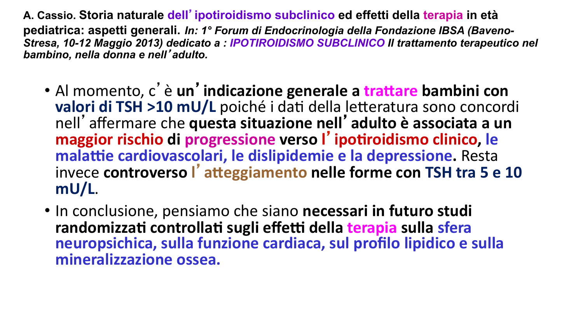**A. Cassio. Storia naturale dell**'**ipotiroidismo subclinico ed effetti della terapia in età pediatrica: aspetti generali.** *In: 1° Forum di Endocrinologia della Fondazione IBSA (Baveno-Stresa, 10-12 Maggio 2013) dedicato a : IPOTIROIDISMO SUBCLINICO Il trattamento terapeutico nel bambino, nella donna e nell*'*adulto.* 

- **•** Al momento, c' è un'indicazione generale a trattare bambini con **valori di TSH >10 mU/L** poiché i dati della letteratura sono concordi nell'affermare che **questa situazione nell**'**adulto è associata a un**  maggior rischio di progressione verso l'ipotiroidismo clinico, le malattie cardiovascolari, le dislipidemie e la depressione. Resta invece controverso l'atteggiamento nelle forme con TSH tra 5 e 10 **mU/L**.
- In conclusione, pensiamo che siano necessari in futuro studi randomizzati controllati sugli effetti della terapia sulla sfera neuropsichica, sulla funzione cardiaca, sul profilo lipidico e sulla mineralizzazione ossea.